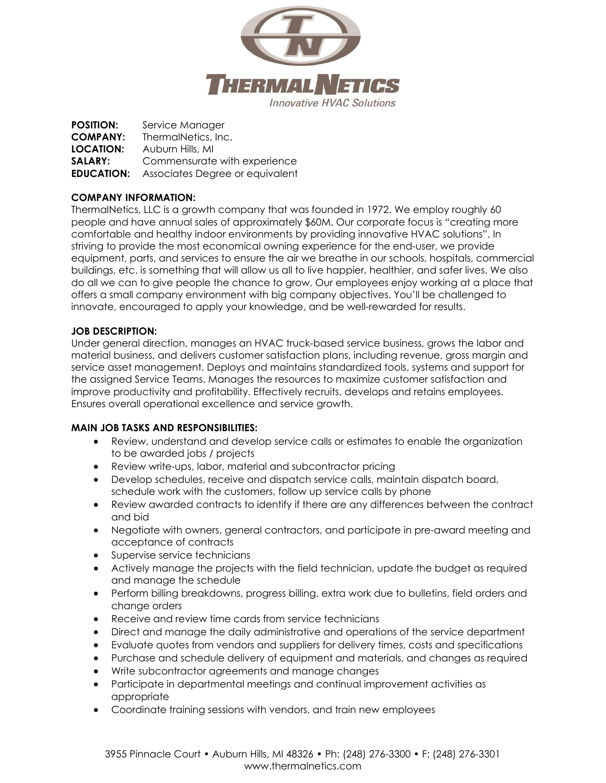

**POSITION:** Service Manager **COMPANY:** ThermalNetics, Inc. **LOCATION:** Auburn Hills, MI **SALARY:** Commensurate with experience **EDUCATION:** Associates Degree or equivalent

# **COMPANY INFORMATION:**

ThermalNetics, LLC is a growth company that was founded in 1972. We employ roughly 60 people and have annual sales of approximately \$60M. Our corporate focus is "creating more comfortable and healthy indoor environments by providing innovative HVAC solutions". In striving to provide the most economical owning experience for the end-user, we provide equipment, parts, and services to ensure the air we breathe in our schools, hospitals, commercial buildings, etc. is something that will allow us all to live happier, healthier, and safer lives. We also do all we can to give people the chance to grow. Our employees enjoy working at a place that offers a small company environment with big company objectives. You'll be challenged to innovate, encouraged to apply your knowledge, and be well-rewarded for results.

# **JOB DESCRIPTION:**

Under general direction, manages an HVAC truck-based service business, grows the labor and material business, and delivers customer satisfaction plans, including revenue, gross margin and service asset management. Deploys and maintains standardized tools, systems and support for the assigned Service Teams. Manages the resources to maximize customer satisfaction and improve productivity and profitability. Effectively recruits, develops and retains employees. Ensures overall operational excellence and service growth.

## **MAIN JOB TASKS AND RESPONSIBILITIES:**

- Review, understand and develop service calls or estimates to enable the organization to be awarded jobs / projects
- Review write-ups, labor, material and subcontractor pricing
- Develop schedules, receive and dispatch service calls, maintain dispatch board, schedule work with the customers, follow up service calls by phone
- Review awarded contracts to identify if there are any differences between the contract and bid
- Negotiate with owners, general contractors, and participate in pre-award meeting and acceptance of contracts
- Supervise service technicians
- Actively manage the projects with the field technician, update the budget as required and manage the schedule
- Perform billing breakdowns, progress billing, extra work due to bulletins, field orders and change orders
- Receive and review time cards from service technicians
- Direct and manage the daily administrative and operations of the service department
- Evaluate quotes from vendors and suppliers for delivery times, costs and specifications
- Purchase and schedule delivery of equipment and materials, and changes as required
- Write subcontractor agreements and manage changes
- Participate in departmental meetings and continual improvement activities as appropriate
- Coordinate training sessions with vendors, and train new employees